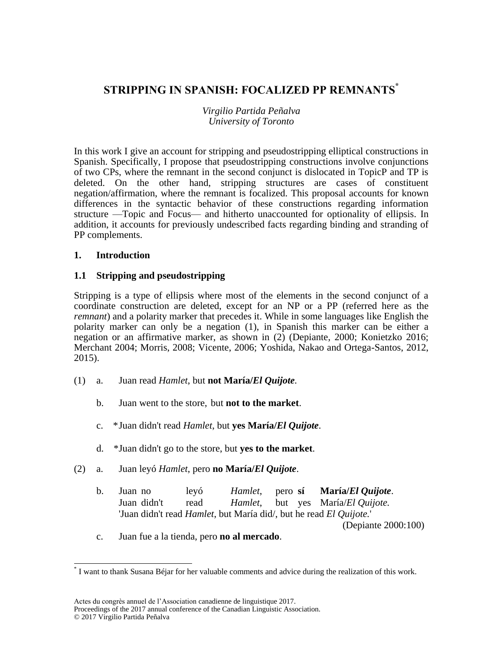# **STRIPPING IN SPANISH: FOCALIZED PP REMNANTS\***

### *Virgilio Partida Peñalva University of Toronto*

In this work I give an account for stripping and pseudostripping elliptical constructions in Spanish. Specifically, I propose that pseudostripping constructions involve conjunctions of two CPs, where the remnant in the second conjunct is dislocated in TopicP and TP is deleted. On the other hand, stripping structures are cases of constituent negation/affirmation, where the remnant is focalized. This proposal accounts for known differences in the syntactic behavior of these constructions regarding information structure —Topic and Focus— and hitherto unaccounted for optionality of ellipsis. In addition, it accounts for previously undescribed facts regarding binding and stranding of PP complements.

### **1. Introduction**

 $\overline{\phantom{a}}$ 

## **1.1 Stripping and pseudostripping**

Stripping is a type of ellipsis where most of the elements in the second conjunct of a coordinate construction are deleted, except for an NP or a PP (referred here as the *remnant*) and a polarity marker that precedes it. While in some languages like English the polarity marker can only be a negation (1), in Spanish this marker can be either a negation or an affirmative marker, as shown in (2) (Depiante, 2000; Konietzko 2016; Merchant 2004; Morris, 2008; Vicente, 2006; Yoshida, Nakao and Ortega-Santos, 2012, 2015).

- (1) a. Juan read *Hamlet*, but **not María/***El Quijote.*
	- b. Juan went to the store, but **not to the market**.
	- c. \*Juan didn't read *Hamlet*, but **yes María/***El Quijote*.
	- d. \*Juan didn't go to the store, but **yes to the market**.
- (2) a. Juan leyó *Hamlet*, pero **no María/***El Quijote*.
	- b. Juan no leyó *Hamlet*, pero **sí María/***El Quijote*. Juan didn't read *Hamlet*, but yes María/*El Quijote.* 'Juan didn't read *Hamlet*, but María did/, but he read *El Quijote.*'

(Depiante 2000:100)

c. Juan fue a la tienda, pero **no al mercado**.

<sup>\*</sup> I want to thank Susana Béjar for her valuable comments and advice during the realization of this work.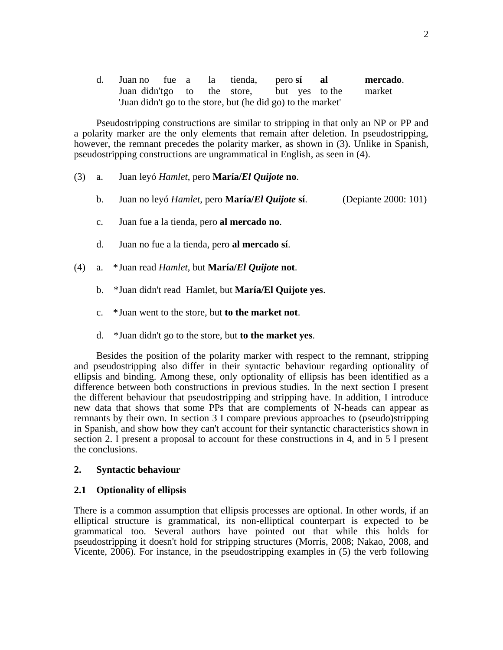| d. Juan no fue a la tienda, perosí |  |  |                                                              | - al | mercado. |
|------------------------------------|--|--|--------------------------------------------------------------|------|----------|
|                                    |  |  | Juan didn'tgo to the store, but yes to the                   |      | market   |
|                                    |  |  | 'Juan didn't go to the store, but (he did go) to the market' |      |          |

Pseudostripping constructions are similar to stripping in that only an NP or PP and a polarity marker are the only elements that remain after deletion. In pseudostripping, however, the remnant precedes the polarity marker, as shown in  $(3)$ . Unlike in Spanish, pseudostripping constructions are ungrammatical in English, as seen in (4).

- (3) a. Juan leyó *Hamlet*, pero **María/***El Quijote* **no**.
	- b. Juan no leyó *Hamlet*, pero **María/***El Quijote* **sí**. (Depiante 2000: 101)
	- c. Juan fue a la tienda, pero **al mercado no**.
	- d. Juan no fue a la tienda, pero **al mercado sí**.
- (4) a. \*Juan read *Hamlet*, but **María/***El Quijote* **not**.
	- b. \*Juan didn't read Hamlet, but **María/El Quijote yes**.
	- c. \*Juan went to the store, but **to the market not**.
	- d. \*Juan didn't go to the store, but **to the market yes**.

Besides the position of the polarity marker with respect to the remnant, stripping and pseudostripping also differ in their syntactic behaviour regarding optionality of ellipsis and binding. Among these, only optionality of ellipsis has been identified as a difference between both constructions in previous studies. In the next section I present the different behaviour that pseudostripping and stripping have. In addition, I introduce new data that shows that some PPs that are complements of N-heads can appear as remnants by their own. In section 3 I compare previous approaches to (pseudo)stripping in Spanish, and show how they can't account for their syntanctic characteristics shown in section 2. I present a proposal to account for these constructions in 4, and in 5 I present the conclusions.

#### **2. Syntactic behaviour**

#### **2.1 Optionality of ellipsis**

There is a common assumption that ellipsis processes are optional. In other words, if an elliptical structure is grammatical, its non-elliptical counterpart is expected to be grammatical too. Several authors have pointed out that while this holds for pseudostripping it doesn't hold for stripping structures (Morris, 2008; Nakao, 2008, and Vicente, 2006). For instance, in the pseudostripping examples in (5) the verb following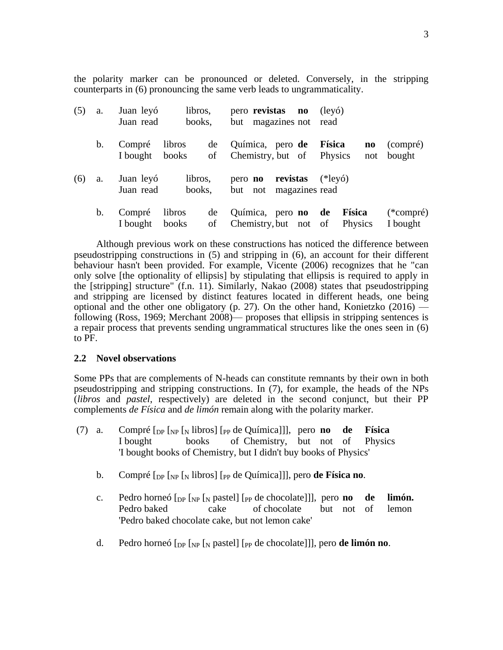the polarity marker can be pronounced or deleted. Conversely, in the stripping counterparts in (6) pronouncing the same verb leads to ungrammaticality.

| (5) | a.            | libros,<br>Juan leyó<br>books,<br>Juan read       | pero revistas no<br>but magazines not read           | $(\text{lev}6)$                             |                         |
|-----|---------------|---------------------------------------------------|------------------------------------------------------|---------------------------------------------|-------------------------|
|     | $\mathbf b$ . | Compré<br>libros<br>de<br>of<br>I bought<br>books | Química, pero de<br>Chemistry, but of                | Física<br>$\mathbf{n}\mathbf{o}$<br>Physics | (compré)<br>not bought  |
| (6) | a.            | Juan leyó<br>libros,<br>Juan read<br>books,       | revistas<br>pero <b>no</b><br>but not magazines read | $(*leyo)$                                   |                         |
|     | $\mathbf b$ . | libros<br>Compré<br>de<br>I bought<br>books<br>of | Química, pero <b>no</b> de<br>Chemistry, but not of  | <b>Física</b><br>Physics                    | $(*compré)$<br>I bought |

Although previous work on these constructions has noticed the difference between pseudostripping constructions in (5) and stripping in (6), an account for their different behaviour hasn't been provided. For example, Vicente (2006) recognizes that he "can only solve [the optionality of ellipsis] by stipulating that ellipsis is required to apply in the [stripping] structure" (f.n. 11). Similarly, Nakao (2008) states that pseudostripping and stripping are licensed by distinct features located in different heads, one being optional and the other one obligatory (p. 27). On the other hand, Konietzko (2016) following (Ross, 1969; Merchant 2008)— proposes that ellipsis in stripping sentences is a repair process that prevents sending ungrammatical structures like the ones seen in (6) to PF.

### **2.2 Novel observations**

Some PPs that are complements of N-heads can constitute remnants by their own in both pseudostripping and stripping constructions. In (7), for example, the heads of the NPs (*libros* and *pastel*, respectively) are deleted in the second conjunct, but their PP complements *de Física* and *de limón* remain along with the polarity marker.

- (7) a. Compré  $\lceil_{\text{DP}} \rceil_{\text{NP}}$   $\lceil_{\text{N}} \rceil$  libros]  $\lceil_{\text{PP}} \rceil$  de Química]]], pero **no de Física** I bought books of Chemistry, but not of Physics 'I bought books of Chemistry, but I didn't buy books of Physics'
	- b. Compré [DP [NP [<sup>N</sup> libros] [PP de Química]]], pero **de Física no**.
	- c. Pedro horneó [DP [NP [<sup>N</sup> pastel] [PP de chocolate]]], pero **no de limón.** Pedro baked cake of chocolate but not of lemon 'Pedro baked chocolate cake, but not lemon cake'
	- d. Pedro horneó [DP [NP [<sup>N</sup> pastel] [PP de chocolate]]], pero **de limón no**.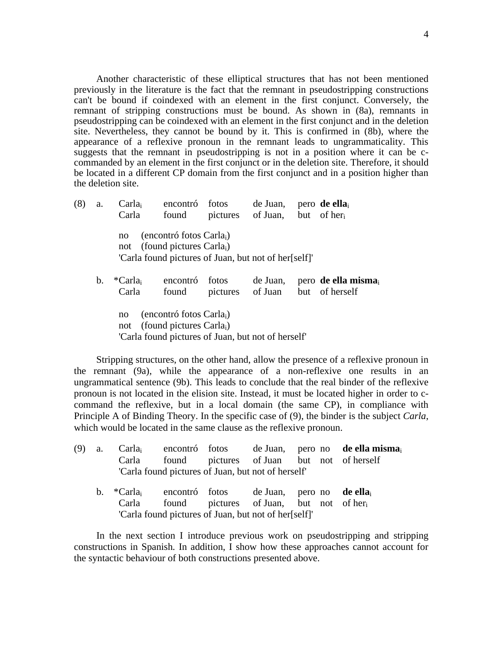Another characteristic of these elliptical structures that has not been mentioned previously in the literature is the fact that the remnant in pseudostripping constructions can't be bound if coindexed with an element in the first conjunct. Conversely, the remnant of stripping constructions must be bound. As shown in (8a), remnants in pseudostripping can be coindexed with an element in the first conjunct and in the deletion site. Nevertheless, they cannot be bound by it. This is confirmed in (8b), where the appearance of a reflexive pronoun in the remnant leads to ungrammaticality. This suggests that the remnant in pseudostripping is not in a position where it can be ccommanded by an element in the first conjunct or in the deletion site. Therefore, it should be located in a different CP domain from the first conjunct and in a position higher than the deletion site.

| (8) | a. | Carla <sub>i</sub><br>Carla  | encontró<br>found                                                                                                                  | fotos<br>pictures | de Juan,<br>of Juan, | pero de ella<br>but of her           |
|-----|----|------------------------------|------------------------------------------------------------------------------------------------------------------------------------|-------------------|----------------------|--------------------------------------|
|     |    | no                           | (encontró fotos Carla <sub>i</sub> )<br>not (found pictures Carla,)<br>'Carla found pictures of Juan, but not of her[self]'        |                   |                      |                                      |
|     | b. | *Carla <sub>i</sub><br>Carla | encontró<br>found                                                                                                                  | fotos<br>pictures | de Juan,<br>of Juan  | pero de ella misma<br>but of herself |
|     |    | no<br>not                    | (encontró fotos Carla <sub>i</sub> )<br>(found pictures Carla <sub>i</sub> )<br>'Carla found pictures of Juan, but not of herself' |                   |                      |                                      |

Stripping structures, on the other hand, allow the presence of a reflexive pronoun in the remnant (9a), while the appearance of a non-reflexive one results in an ungrammatical sentence (9b). This leads to conclude that the real binder of the reflexive pronoun is not located in the elision site. Instead, it must be located higher in order to ccommand the reflexive, but in a local domain (the same CP), in compliance with Principle A of Binding Theory. In the specific case of (9), the binder is the subject *Carla*, which would be located in the same clause as the reflexive pronoun.

| (9)<br><b>a.</b> | Carla                                                                              | found pictures of Juan but not of herself<br>'Carla found pictures of Juan, but not of herself' |  |  | $Carla_i$ encontró fotos de Juan, pero no <b>de ella misma</b> |
|------------------|------------------------------------------------------------------------------------|-------------------------------------------------------------------------------------------------|--|--|----------------------------------------------------------------|
|                  | b. $*Carla_i$ encontró fotos de Juan, pero no <b>de ella</b> <sub>i</sub><br>Carla | found pictures of Juan, but not of her<br>'Carla found pictures of Juan, but not of her[self]'  |  |  |                                                                |

In the next section I introduce previous work on pseudostripping and stripping constructions in Spanish. In addition, I show how these approaches cannot account for the syntactic behaviour of both constructions presented above.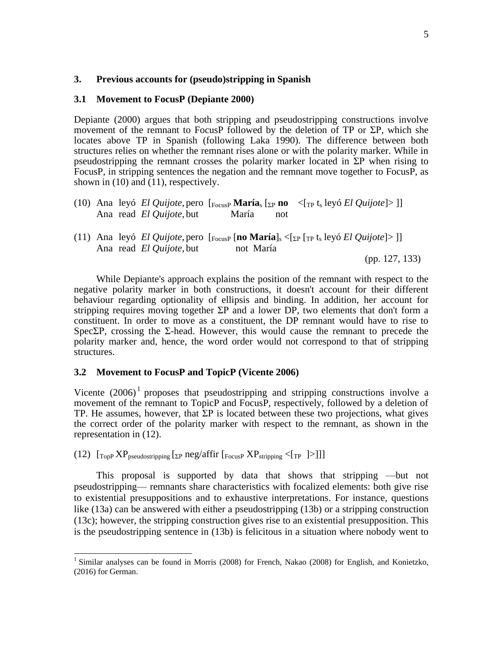#### **3. Previous accounts for (pseudo)stripping in Spanish**

#### **3.1 Movement to FocusP (Depiante 2000)**

Depiante (2000) argues that both stripping and pseudostripping constructions involve movement of the remnant to FocusP followed by the deletion of TP or  $\Sigma P$ , which she locates above TP in Spanish (following Laka 1990). The difference between both structures relies on whether the remnant rises alone or with the polarity marker. While in pseudostripping the remnant crosses the polarity marker located in ΣP when rising to FocusP, in stripping sentences the negation and the remnant move together to FocusP, as shown in (10) and (11), respectively.

|  | Ana read <i>El Quijote</i> , but | María<br>not | (10) Ana leyó El Quijote, pero $\left[\frac{F_{\text{OCUSP}}}{F_{\text{OCUSP}}}$ María <sub>s</sub> $\left[\frac{F_{\text{P}}}{F_{\text{P}}}$ no $\leq \left[\frac{F_{\text{P}}}{F_{\text{S}}}$ leyó El Quijote $\geq \right]\right]$     |
|--|----------------------------------|--------------|-------------------------------------------------------------------------------------------------------------------------------------------------------------------------------------------------------------------------------------------|
|  | Ana read <i>El Quijote</i> , but | not María    | (11) Ana leyó El Quijote, pero $\left[\frac{}{\text{Focus}} \right]$ [no María] <sub>s</sub> < $\left[\frac{}{\text{Ep}} \right]$ $\left[\frac{}{\text{Fp}} \right]$ (Equilibrary 1) $\left[\frac{}{\text{Fp}} \right]$<br>(pp. 127, 133) |

While Depiante's approach explains the position of the remnant with respect to the negative polarity marker in both constructions, it doesn't account for their different behaviour regarding optionality of ellipsis and binding. In addition, her account for stripping requires moving together  $\Sigma P$  and a lower DP, two elements that don't form a constituent. In order to move as a constituent, the DP remnant would have to rise to SpecΣP, crossing the Σ-head. However, this would cause the remnant to precede the polarity marker and, hence, the word order would not correspond to that of stripping structures.

### **3.2 Movement to FocusP and TopicP (Vicente 2006)**

Vicente  $(2006)^1$  proposes that pseudostripping and stripping constructions involve a movement of the remnant to TopicP and FocusP, respectively, followed by a deletion of TP. He assumes, however, that  $\Sigma P$  is located between these two projections, what gives the correct order of the polarity marker with respect to the remnant, as shown in the representation in (12).

(12)  $\left[\text{Top } XP_{\text{pseudostripping}} \left[\text{sp neg/affir } \left[\text{Focus } P XP_{\text{stripping}} \left[\text{sp } \left[\text{p} \right]\right]\right] \right] \right]$ 

 $\overline{\phantom{a}}$ 

This proposal is supported by data that shows that stripping —but not pseudostripping— remnants share characteristics with focalized elements: both give rise to existential presuppositions and to exhaustive interpretations. For instance, questions like (13a) can be answered with either a pseudostripping (13b) or a stripping construction (13c); however, the stripping construction gives rise to an existential presupposition. This is the pseudostripping sentence in (13b) is felicitous in a situation where nobody went to

<sup>&</sup>lt;sup>1</sup> Similar analyses can be found in Morris (2008) for French, Nakao (2008) for English, and Konietzko, (2016) for German.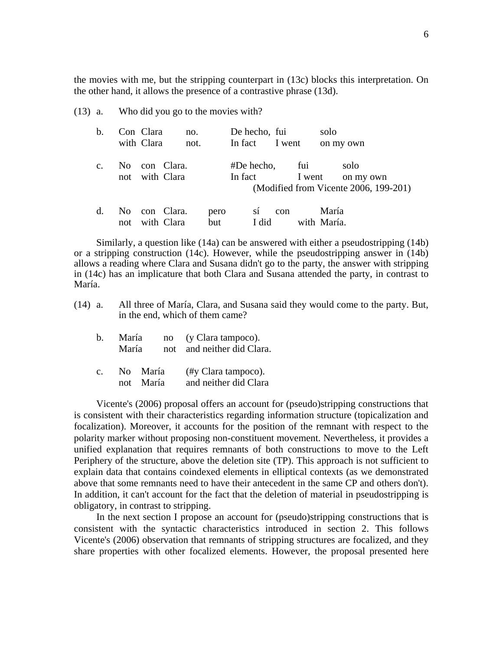the movies with me, but the stripping counterpart in (13c) blocks this interpretation. On the other hand, it allows the presence of a contrastive phrase (13d).

(13) a. Who did you go to the movies with?

| b.             |     | Con Clara<br>with Clara | no.<br>not.                  |             | De hecho, fui<br>In fact I went |     |               | solo                 | on my own                                                  |
|----------------|-----|-------------------------|------------------------------|-------------|---------------------------------|-----|---------------|----------------------|------------------------------------------------------------|
| $\mathbf{C}$ . | No. |                         | con Clara.<br>not with Clara |             | #De hecho,<br>In fact           |     | fui<br>I went |                      | solo<br>on my own<br>(Modified from Vicente 2006, 199-201) |
| d.             | not |                         | No con Clara.<br>with Clara  | pero<br>but | SÍ<br>I did                     | con |               | María<br>with María. |                                                            |

Similarly, a question like (14a) can be answered with either a pseudostripping (14b) or a stripping construction (14c). However, while the pseudostripping answer in (14b) allows a reading where Clara and Susana didn't go to the party, the answer with stripping in (14c) has an implicature that both Clara and Susana attended the party, in contrast to María.

- (14) a. All three of María, Clara, and Susana said they would come to the party. But, in the end, which of them came?
	- b. María no (y Clara tampoco). María not and neither did Clara.
	- c. No María (#y Clara tampoco). not María and neither did Clara

Vicente's (2006) proposal offers an account for (pseudo)stripping constructions that is consistent with their characteristics regarding information structure (topicalization and focalization). Moreover, it accounts for the position of the remnant with respect to the polarity marker without proposing non-constituent movement. Nevertheless, it provides a unified explanation that requires remnants of both constructions to move to the Left Periphery of the structure, above the deletion site (TP). This approach is not sufficient to explain data that contains coindexed elements in elliptical contexts (as we demonstrated above that some remnants need to have their antecedent in the same CP and others don't). In addition, it can't account for the fact that the deletion of material in pseudostripping is obligatory, in contrast to stripping.

In the next section I propose an account for (pseudo)stripping constructions that is consistent with the syntactic characteristics introduced in section 2. This follows Vicente's (2006) observation that remnants of stripping structures are focalized, and they share properties with other focalized elements. However, the proposal presented here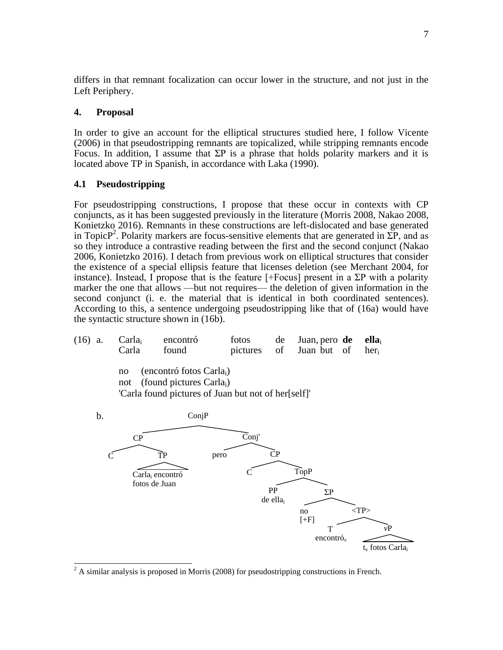differs in that remnant focalization can occur lower in the structure, and not just in the Left Periphery.

### **4. Proposal**

In order to give an account for the elliptical structures studied here, I follow Vicente (2006) in that pseudostripping remnants are topicalized, while stripping remnants encode Focus. In addition, I assume that  $\Sigma P$  is a phrase that holds polarity markers and it is located above TP in Spanish, in accordance with Laka (1990).

### **4.1 Pseudostripping**

For pseudostripping constructions, I propose that these occur in contexts with CP conjuncts, as it has been suggested previously in the literature (Morris 2008, Nakao 2008, Konietzko 2016). Remnants in these constructions are left-dislocated and base generated in TopicP<sup>2</sup>. Polarity markers are focus-sensitive elements that are generated in  $\Sigma P$ , and as so they introduce a contrastive reading between the first and the second conjunct (Nakao 2006, Konietzko 2016). I detach from previous work on elliptical structures that consider the existence of a special ellipsis feature that licenses deletion (see Merchant 2004, for instance). Instead, I propose that is the feature [+Focus] present in a  $\Sigma P$  with a polarity marker the one that allows —but not requires— the deletion of given information in the second conjunct (i. e. the material that is identical in both coordinated sentences). According to this, a sentence undergoing pseudostripping like that of (16a) would have the syntactic structure shown in (16b).





 $\overline{\phantom{a}}$  $2^2$  A similar analysis is proposed in Morris (2008) for pseudostripping constructions in French.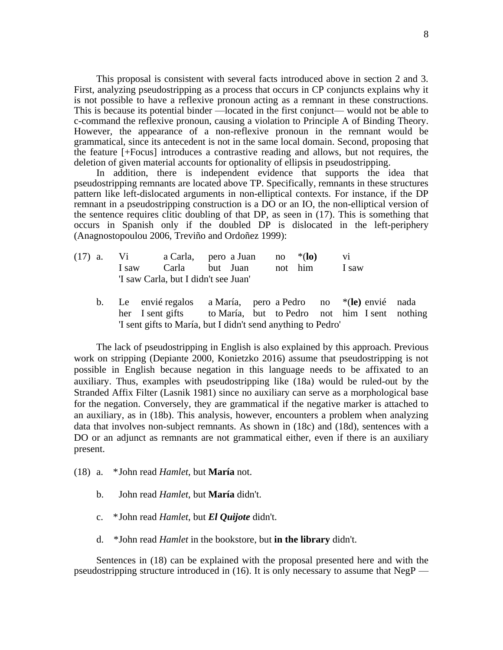This proposal is consistent with several facts introduced above in section 2 and 3. First, analyzing pseudostripping as a process that occurs in CP conjuncts explains why it is not possible to have a reflexive pronoun acting as a remnant in these constructions. This is because its potential binder —located in the first conjunct— would not be able to c-command the reflexive pronoun, causing a violation to Principle A of Binding Theory. However, the appearance of a non-reflexive pronoun in the remnant would be grammatical, since its antecedent is not in the same local domain. Second, proposing that the feature [+Focus] introduces a contrastive reading and allows, but not requires, the deletion of given material accounts for optionality of ellipsis in pseudostripping.

In addition, there is independent evidence that supports the idea that pseudostripping remnants are located above TP. Specifically, remnants in these structures pattern like left-dislocated arguments in non-elliptical contexts. For instance, if the DP remnant in a pseudostripping construction is a DO or an IO, the non-elliptical version of the sentence requires clitic doubling of that DP, as seen in (17). This is something that occurs in Spanish only if the doubled DP is dislocated in the left-periphery (Anagnostopoulou 2006, Treviño and Ordoñez 1999):

| $(17)$ a. | Vi Vi | a Carla, pero a Juan no $*(\mathbf{lo})$ |  |  |
|-----------|-------|------------------------------------------|--|--|
|           |       | I saw Carla but Juan not him I saw       |  |  |
|           |       | 'I saw Carla, but I didn't see Juan'     |  |  |

b. Le envié regalos a María, pero a Pedro no \*(**le)** envié nada her I sent gifts to María, but to Pedro not him I sent nothing 'I sent gifts to María, but I didn't send anything to Pedro'

The lack of pseudostripping in English is also explained by this approach. Previous work on stripping (Depiante 2000, Konietzko 2016) assume that pseudostripping is not possible in English because negation in this language needs to be affixated to an auxiliary. Thus, examples with pseudostripping like (18a) would be ruled-out by the Stranded Affix Filter (Lasnik 1981) since no auxiliary can serve as a morphological base for the negation. Conversely, they are grammatical if the negative marker is attached to an auxiliary, as in (18b). This analysis, however, encounters a problem when analyzing data that involves non-subject remnants. As shown in (18c) and (18d), sentences with a DO or an adjunct as remnants are not grammatical either, even if there is an auxiliary present.

- (18) a. \*John read *Hamlet*, but **María** not.
	- b. John read *Hamlet*, but **María** didn't.
	- c. \*John read *Hamlet*, but *El Quijote* didn't.
	- d. \*John read *Hamlet* in the bookstore, but **in the library** didn't.

Sentences in (18) can be explained with the proposal presented here and with the pseudostripping structure introduced in (16). It is only necessary to assume that NegP —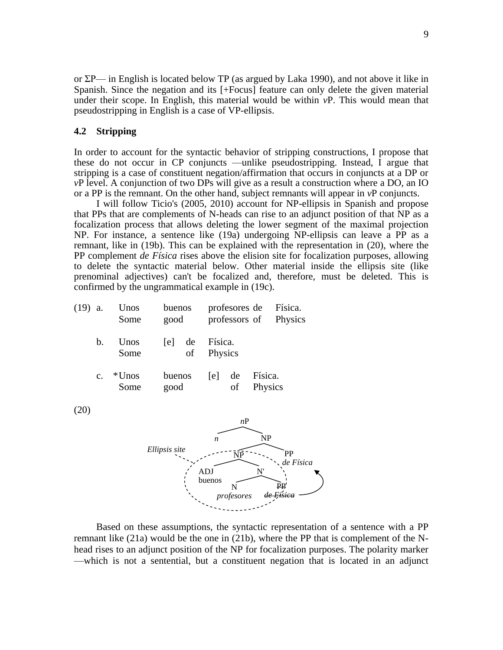or ΣP— in English is located below TP (as argued by Laka 1990), and not above it like in Spanish. Since the negation and its [+Focus] feature can only delete the given material under their scope. In English, this material would be within *v*P. This would mean that pseudostripping in English is a case of VP-ellipsis.

### **4.2 Stripping**

In order to account for the syntactic behavior of stripping constructions, I propose that these do not occur in CP conjuncts —unlike pseudostripping. Instead, I argue that stripping is a case of constituent negation/affirmation that occurs in conjuncts at a DP or *v*P level. A conjunction of two DPs will give as a result a construction where a DO, an IO or a PP is the remnant. On the other hand, subject remnants will appear in *v*P conjuncts.

I will follow Ticio's (2005, 2010) account for NP-ellipsis in Spanish and propose that PPs that are complements of N-heads can rise to an adjunct position of that NP as a focalization process that allows deleting the lower segment of the maximal projection NP. For instance, a sentence like (19a) undergoing NP-ellipsis can leave a PP as a remnant, like in (19b). This can be explained with the representation in (20), where the PP complement *de Física* rises above the elision site for focalization purposes, allowing to delete the syntactic material below. Other material inside the ellipsis site (like prenominal adjectives) can't be focalized and, therefore, must be deleted. This is confirmed by the ungrammatical example in (19c).

| (19) | a.            | Unos<br>Some     | buenos<br>good |          |                    | profesores de<br>professors of |                    | Física.<br>Physics |
|------|---------------|------------------|----------------|----------|--------------------|--------------------------------|--------------------|--------------------|
|      | $\mathbf b$ . | Unos<br>Some     | [e]            | de<br>of | Física.<br>Physics |                                |                    |                    |
|      | $C_{\bullet}$ | $*$ Unos<br>Some | buenos<br>good |          | [e]                | de<br>οf                       | Física.<br>Physics |                    |
| (20) |               |                  |                |          | $\boldsymbol{n}$   | nP                             | <b>NP</b>          |                    |
|      |               |                  | Ellipsis site  |          | ADJ                | $\overline{\text{NP}}$         | N'                 | PP<br>de Física    |

buenos

 N *profesores*

Based on these assumptions, the syntactic representation of a sentence with a PP remnant like (21a) would be the one in (21b), where the PP that is complement of the Nhead rises to an adjunct position of the NP for focalization purposes. The polarity marker —which is not a sentential, but a constituent negation that is located in an adjunct

 PP *de Física*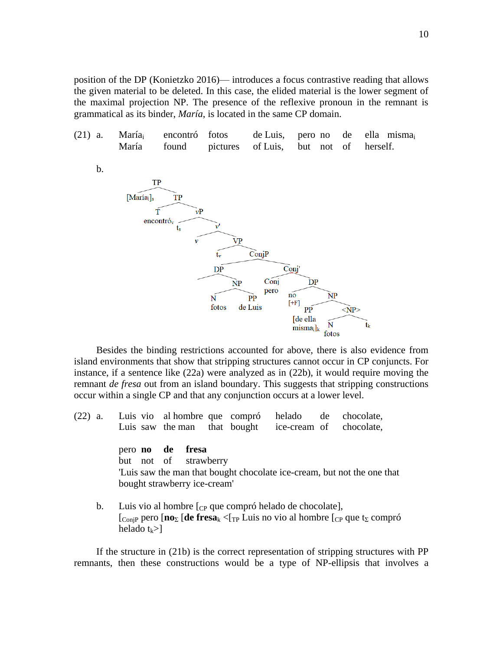position of the DP (Konietzko 2016)— introduces a focus contrastive reading that allows the given material to be deleted. In this case, the elided material is the lower segment of the maximal projection NP. The presence of the reflexive pronoun in the remnant is grammatical as its binder, *María*, is located in the same CP domain.



Besides the binding restrictions accounted for above, there is also evidence from island environments that show that stripping structures cannot occur in CP conjuncts. For instance, if a sentence like (22a) were analyzed as in (22b), it would require moving the remnant *de fresa* out from an island boundary. This suggests that stripping constructions occur within a single CP and that any conjunction occurs at a lower level.

|  |  |                                                                                                                                     |  |  | (22) a. Luis vio al hombre que compró helado de chocolate,<br>Luis saw the man that bought ice-cream of chocolate, |
|--|--|-------------------------------------------------------------------------------------------------------------------------------------|--|--|--------------------------------------------------------------------------------------------------------------------|
|  |  | $\mathbf{r}$ and $\mathbf{r}$ and $\mathbf{r}$ and $\mathbf{r}$ and $\mathbf{r}$ and $\mathbf{r}$ and $\mathbf{r}$ and $\mathbf{r}$ |  |  |                                                                                                                    |

pero **no de fresa** but not of strawberry 'Luis saw the man that bought chocolate ice-cream, but not the one that bought strawberry ice-cream'

b. Luis vio al hombre  $\lceil_{CP}$  que compró helado de chocolate], [ConjP pero [**no**<sup>Σ</sup> [**de fresa**<sup>k</sup> <[TP Luis no vio al hombre [CP que t<sup>Σ</sup> compró helado  $t_k$ >]

If the structure in (21b) is the correct representation of stripping structures with PP remnants, then these constructions would be a type of NP-ellipsis that involves a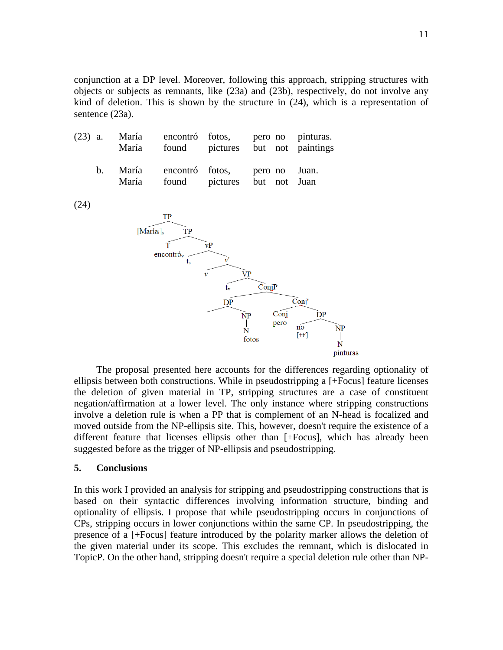conjunction at a DP level. Moreover, following this approach, stripping structures with objects or subjects as remnants, like (23a) and (23b), respectively, do not involve any kind of deletion. This is shown by the structure in (24), which is a representation of sentence (23a).

| (23) | a.                          | María<br>María | found                                | encontró fotos,<br>pictures but not | pero no            |      | pinturas.<br>paintings |  |  |  |  |
|------|-----------------------------|----------------|--------------------------------------|-------------------------------------|--------------------|------|------------------------|--|--|--|--|
|      | $\mathbf b$ .               | María<br>María | encontró<br>found                    | fotos,<br>pictures                  | pero no<br>but not |      | Juan.<br>Juan          |  |  |  |  |
| (24) |                             |                |                                      |                                     |                    |      |                        |  |  |  |  |
|      |                             |                | TP                                   |                                     |                    |      |                        |  |  |  |  |
|      | [Maria <sub>i</sub> ]<br>TP |                |                                      |                                     |                    |      |                        |  |  |  |  |
|      |                             |                | т                                    | vP                                  |                    |      |                        |  |  |  |  |
|      |                             |                | $\mathbf{encontr\'{o_v}}$<br>$t_{s}$ | v                                   |                    |      |                        |  |  |  |  |
|      |                             |                |                                      | VP<br>v                             |                    |      |                        |  |  |  |  |
|      |                             |                |                                      | tv                                  | ConjP              |      |                        |  |  |  |  |
|      |                             |                |                                      | DP                                  |                    |      | Conj'                  |  |  |  |  |
|      |                             |                |                                      | NP                                  |                    | Conj | DP                     |  |  |  |  |

The proposal presented here accounts for the differences regarding optionality of ellipsis between both constructions. While in pseudostripping a [+Focus] feature licenses the deletion of given material in TP, stripping structures are a case of constituent negation/affirmation at a lower level. The only instance where stripping constructions involve a deletion rule is when a PP that is complement of an N-head is focalized and moved outside from the NP-ellipsis site. This, however, doesn't require the existence of a different feature that licenses ellipsis other than [+Focus], which has already been suggested before as the trigger of NP-ellipsis and pseudostripping.

 $\overline{\mathbf{N}}$ 

fotos

pero

 $\overline{no}$ 

 $[+F]$ 

 $\overline{\text{NP}}$ 

 $\overline{\mathbf{N}}$ pinturas

#### **5. Conclusions**

In this work I provided an analysis for stripping and pseudostripping constructions that is based on their syntactic differences involving information structure, binding and optionality of ellipsis. I propose that while pseudostripping occurs in conjunctions of CPs, stripping occurs in lower conjunctions within the same CP. In pseudostripping, the presence of a [+Focus] feature introduced by the polarity marker allows the deletion of the given material under its scope. This excludes the remnant, which is dislocated in TopicP. On the other hand, stripping doesn't require a special deletion rule other than NP-